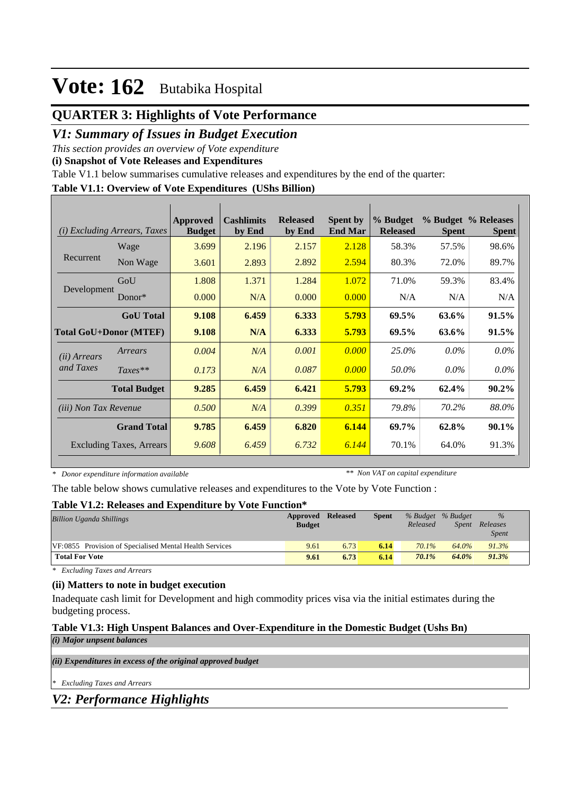## **QUARTER 3: Highlights of Vote Performance**

## *V1: Summary of Issues in Budget Execution*

*This section provides an overview of Vote expenditure* 

**(i) Snapshot of Vote Releases and Expenditures**

Table V1.1 below summarises cumulative releases and expenditures by the end of the quarter:

#### **Table V1.1: Overview of Vote Expenditures (UShs Billion)**

| (i)                           | <i>Excluding Arrears, Taxes</i> | Approved<br><b>Budget</b> | <b>Cashlimits</b><br>by End | <b>Released</b><br>by End | <b>Spent by</b><br><b>End Mar</b> | % Budget<br><b>Released</b> | <b>Spent</b> | % Budget % Releases<br><b>Spent</b> |
|-------------------------------|---------------------------------|---------------------------|-----------------------------|---------------------------|-----------------------------------|-----------------------------|--------------|-------------------------------------|
|                               | Wage                            | 3.699                     | 2.196                       | 2.157                     | 2.128                             | 58.3%                       | 57.5%        | 98.6%                               |
| Recurrent                     | Non Wage                        | 3.601                     | 2.893                       | 2.892                     | 2.594                             | 80.3%                       | 72.0%        | 89.7%                               |
|                               | GoU                             | 1.808                     | 1.371                       | 1.284                     | 1.072                             | 71.0%                       | 59.3%        | 83.4%                               |
| Development                   | $Donor*$                        | 0.000                     | N/A                         | 0.000                     | 0.000                             | N/A                         | N/A          | N/A                                 |
|                               | <b>GoU</b> Total                | 9.108                     | 6.459                       | 6.333                     | 5.793                             | 69.5%                       | 63.6%        | 91.5%                               |
| <b>Total GoU+Donor (MTEF)</b> |                                 | 9.108                     | N/A                         | 6.333                     | 5.793                             | 69.5%                       | 63.6%        | 91.5%                               |
| ( <i>ii</i> ) Arrears         | Arrears                         | 0.004                     | N/A                         | 0.001                     | 0.000                             | 25.0%                       | $0.0\%$      | $0.0\%$                             |
| and Taxes                     | $Taxes**$                       | 0.173                     | N/A                         | 0.087                     | 0.000                             | 50.0%                       | $0.0\%$      | $0.0\%$                             |
|                               | <b>Total Budget</b>             | 9.285                     | 6.459                       | 6.421                     | 5.793                             | 69.2%                       | 62.4%        | $90.2\%$                            |
| <i>(iii)</i> Non Tax Revenue  |                                 | 0.500                     | N/A                         | 0.399                     | 0.351                             | 79.8%                       | 70.2%        | 88.0%                               |
|                               | <b>Grand Total</b>              | 9.785                     | 6.459                       | 6.820                     | 6.144                             | 69.7%                       | 62.8%        | $90.1\%$                            |
|                               | <b>Excluding Taxes, Arrears</b> | 9.608                     | 6.459                       | 6.732                     | 6.144                             | 70.1%                       | 64.0%        | 91.3%                               |

*\* Donor expenditure information available*

*\*\* Non VAT on capital expenditure*

The table below shows cumulative releases and expenditures to the Vote by Vote Function :

#### **Table V1.2: Releases and Expenditure by Vote Function\***

| <b>Billion Uganda Shillings</b>                         | <b>Approved Released</b><br><b>Budget</b> |      | <b>Spent</b> | % Budget % Budget<br>Released | <i>Spent</i> | $\%$<br>Releases<br><i>Spent</i> |  |
|---------------------------------------------------------|-------------------------------------------|------|--------------|-------------------------------|--------------|----------------------------------|--|
| VF:0855 Provision of Specialised Mental Health Services | 9.61                                      | 6.73 | 6.14         | 70.1%                         | 64.0%        | 91.3%                            |  |
| <b>Total For Vote</b>                                   | 9.61                                      | 6.73 | 6.14         | 70.1%                         | 64.0%        | 91.3%                            |  |

*\* Excluding Taxes and Arrears*

#### **(ii) Matters to note in budget execution**

Inadequate cash limit for Development and high commodity prices visa via the initial estimates during the budgeting process.

### **Table V1.3: High Unspent Balances and Over-Expenditure in the Domestic Budget (Ushs Bn)**

*(i) Major unpsent balances*

*(ii) Expenditures in excess of the original approved budget*

*\* Excluding Taxes and Arrears*

*V2: Performance Highlights*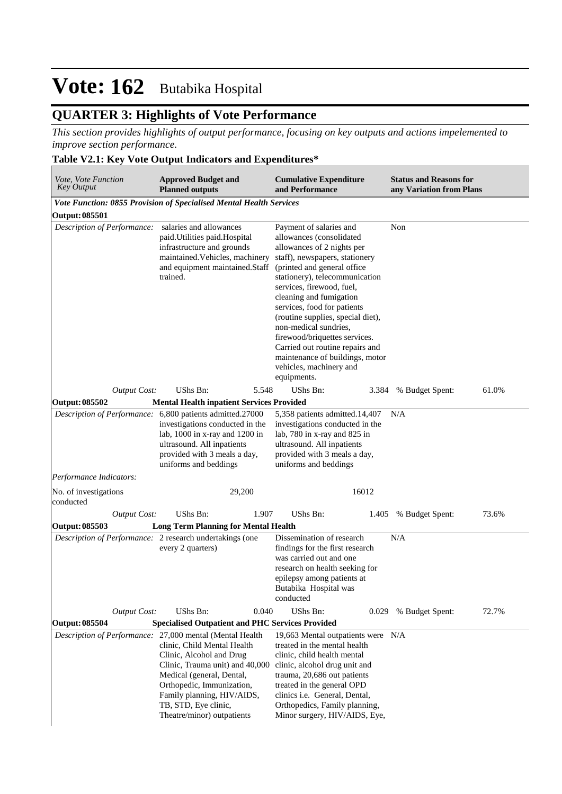## **QUARTER 3: Highlights of Vote Performance**

*This section provides highlights of output performance, focusing on key outputs and actions impelemented to improve section performance.*

### **Table V2.1: Key Vote Output Indicators and Expenditures\***

| Vote, Vote Function<br><b>Key Output</b>                 | <b>Approved Budget and</b><br><b>Planned outputs</b>                                                                                                                                                                                                                                                 | <b>Cumulative Expenditure</b><br>and Performance                                                                                                                                                                                                                                                                                                                                                                                                                                           | <b>Status and Reasons for</b><br>any Variation from Plans |
|----------------------------------------------------------|------------------------------------------------------------------------------------------------------------------------------------------------------------------------------------------------------------------------------------------------------------------------------------------------------|--------------------------------------------------------------------------------------------------------------------------------------------------------------------------------------------------------------------------------------------------------------------------------------------------------------------------------------------------------------------------------------------------------------------------------------------------------------------------------------------|-----------------------------------------------------------|
|                                                          | Vote Function: 0855 Provision of Specialised Mental Health Services                                                                                                                                                                                                                                  |                                                                                                                                                                                                                                                                                                                                                                                                                                                                                            |                                                           |
| <b>Output: 085501</b>                                    |                                                                                                                                                                                                                                                                                                      |                                                                                                                                                                                                                                                                                                                                                                                                                                                                                            |                                                           |
| Description of Performance:                              | salaries and allowances<br>paid. Utilities paid. Hospital<br>infrastructure and grounds<br>maintained. Vehicles, machinery<br>and equipment maintained.Staff<br>trained.                                                                                                                             | Payment of salaries and<br>allowances (consolidated<br>allowances of 2 nights per<br>staff), newspapers, stationery<br>(printed and general office<br>stationery), telecommunication<br>services, firewood, fuel,<br>cleaning and fumigation<br>services, food for patients<br>(routine supplies, special diet),<br>non-medical sundries,<br>firewood/briquettes services.<br>Carried out routine repairs and<br>maintenance of buildings, motor<br>vehicles, machinery and<br>equipments. | Non                                                       |
| <b>Output Cost:</b><br>Output: 085502                    | <b>UShs Bn:</b><br>5.548<br><b>Mental Health inpatient Services Provided</b>                                                                                                                                                                                                                         | UShs Bn:<br>3.384                                                                                                                                                                                                                                                                                                                                                                                                                                                                          | 61.0%<br>% Budget Spent:                                  |
|                                                          | Description of Performance: 6,800 patients admitted.27000                                                                                                                                                                                                                                            | 5,358 patients admitted.14,407                                                                                                                                                                                                                                                                                                                                                                                                                                                             | N/A                                                       |
|                                                          | investigations conducted in the<br>lab, $1000$ in x-ray and $1200$ in<br>ultrasound. All inpatients<br>provided with 3 meals a day,<br>uniforms and beddings                                                                                                                                         | investigations conducted in the<br>lab, 780 in x-ray and 825 in<br>ultrasound. All inpatients<br>provided with 3 meals a day,<br>uniforms and beddings                                                                                                                                                                                                                                                                                                                                     |                                                           |
| Performance Indicators:                                  |                                                                                                                                                                                                                                                                                                      |                                                                                                                                                                                                                                                                                                                                                                                                                                                                                            |                                                           |
| No. of investigations<br>conducted                       | 29,200                                                                                                                                                                                                                                                                                               | 16012                                                                                                                                                                                                                                                                                                                                                                                                                                                                                      |                                                           |
| <b>Output Cost:</b>                                      | UShs Bn:<br>1.907                                                                                                                                                                                                                                                                                    | UShs Bn:<br>1.405                                                                                                                                                                                                                                                                                                                                                                                                                                                                          | % Budget Spent:<br>73.6%                                  |
| Output: 085503                                           | <b>Long Term Planning for Mental Health</b>                                                                                                                                                                                                                                                          |                                                                                                                                                                                                                                                                                                                                                                                                                                                                                            |                                                           |
| Description of Performance: 2 research undertakings (one | every 2 quarters)                                                                                                                                                                                                                                                                                    | Dissemination of research<br>findings for the first research<br>was carried out and one<br>research on health seeking for<br>epilepsy among patients at<br>Butabika Hospital was<br>conducted                                                                                                                                                                                                                                                                                              | N/A                                                       |
| <b>Output Cost:</b>                                      | UShs Bn:<br>0.040                                                                                                                                                                                                                                                                                    | UShs Bn:<br>0.029                                                                                                                                                                                                                                                                                                                                                                                                                                                                          | % Budget Spent:<br>72.7%                                  |
| <b>Output: 085504</b>                                    | <b>Specialised Outpatient and PHC Services Provided</b>                                                                                                                                                                                                                                              |                                                                                                                                                                                                                                                                                                                                                                                                                                                                                            |                                                           |
|                                                          | Description of Performance: 27,000 mental (Mental Health<br>clinic, Child Mental Health<br>Clinic, Alcohol and Drug<br>Clinic, Trauma unit) and 40,000<br>Medical (general, Dental,<br>Orthopedic, Immunization,<br>Family planning, HIV/AIDS,<br>TB, STD, Eye clinic,<br>Theatre/minor) outpatients | 19,663 Mental outpatients were N/A<br>treated in the mental health<br>clinic, child health mental<br>clinic, alcohol drug unit and<br>trauma, 20,686 out patients<br>treated in the general OPD<br>clinics i.e. General, Dental,<br>Orthopedics, Family planning,<br>Minor surgery, HIV/AIDS, Eye,                                                                                                                                                                                         |                                                           |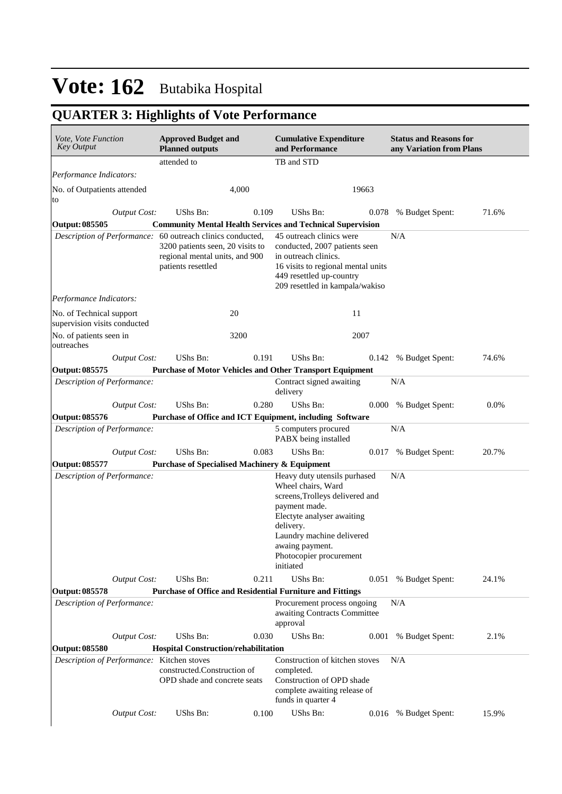## **QUARTER 3: Highlights of Vote Performance**

| Vote, Vote Function<br><b>Key Output</b>                 |                     | <b>Approved Budget and</b><br><b>Planned outputs</b>                                                                                                   |       | <b>Cumulative Expenditure</b><br>and Performance                                                                                                                                                                                          |       | <b>Status and Reasons for</b><br>any Variation from Plans |       |
|----------------------------------------------------------|---------------------|--------------------------------------------------------------------------------------------------------------------------------------------------------|-------|-------------------------------------------------------------------------------------------------------------------------------------------------------------------------------------------------------------------------------------------|-------|-----------------------------------------------------------|-------|
|                                                          |                     | attended to                                                                                                                                            |       | TB and STD                                                                                                                                                                                                                                |       |                                                           |       |
| Performance Indicators:                                  |                     |                                                                                                                                                        |       |                                                                                                                                                                                                                                           |       |                                                           |       |
| No. of Outpatients attended<br>to                        |                     |                                                                                                                                                        | 4,000 |                                                                                                                                                                                                                                           | 19663 |                                                           |       |
|                                                          | <b>Output Cost:</b> | UShs Bn:                                                                                                                                               | 0.109 | UShs Bn:                                                                                                                                                                                                                                  | 0.078 | % Budget Spent:                                           | 71.6% |
| <b>Output: 085505</b>                                    |                     |                                                                                                                                                        |       | <b>Community Mental Health Services and Technical Supervision</b>                                                                                                                                                                         |       |                                                           |       |
|                                                          |                     | Description of Performance: 60 outreach clinics conducted,<br>3200 patients seen, 20 visits to<br>regional mental units, and 900<br>patients resettled |       | 45 outreach clinics were<br>conducted, 2007 patients seen<br>in outreach clinics.<br>16 visits to regional mental units<br>449 resettled up-country<br>209 resettled in kampala/wakiso                                                    |       | N/A                                                       |       |
| Performance Indicators:                                  |                     |                                                                                                                                                        |       |                                                                                                                                                                                                                                           |       |                                                           |       |
| No. of Technical support<br>supervision visits conducted |                     |                                                                                                                                                        | 20    | 11                                                                                                                                                                                                                                        |       |                                                           |       |
| No. of patients seen in<br>outreaches                    |                     |                                                                                                                                                        | 3200  |                                                                                                                                                                                                                                           | 2007  |                                                           |       |
|                                                          | <b>Output Cost:</b> | UShs Bn:                                                                                                                                               | 0.191 | UShs Bn:                                                                                                                                                                                                                                  | 0.142 | % Budget Spent:                                           | 74.6% |
| <b>Output: 085575</b>                                    |                     |                                                                                                                                                        |       | <b>Purchase of Motor Vehicles and Other Transport Equipment</b>                                                                                                                                                                           |       |                                                           |       |
| Description of Performance:                              |                     |                                                                                                                                                        |       | Contract signed awaiting<br>delivery                                                                                                                                                                                                      |       | N/A                                                       |       |
|                                                          | <b>Output Cost:</b> | UShs Bn:                                                                                                                                               | 0.280 | UShs Bn:                                                                                                                                                                                                                                  | 0.000 | % Budget Spent:                                           | 0.0%  |
| Output: 085576                                           |                     |                                                                                                                                                        |       | Purchase of Office and ICT Equipment, including Software                                                                                                                                                                                  |       |                                                           |       |
| Description of Performance:                              |                     |                                                                                                                                                        |       | 5 computers procured<br>PABX being installed                                                                                                                                                                                              |       | $\rm N/A$                                                 |       |
|                                                          | <b>Output Cost:</b> | UShs Bn:                                                                                                                                               | 0.083 | UShs Bn:                                                                                                                                                                                                                                  | 0.017 | % Budget Spent:                                           | 20.7% |
| <b>Output: 085577</b>                                    |                     | <b>Purchase of Specialised Machinery &amp; Equipment</b>                                                                                               |       |                                                                                                                                                                                                                                           |       |                                                           |       |
| Description of Performance:                              |                     |                                                                                                                                                        |       | Heavy duty utensils purhased<br>Wheel chairs, Ward<br>screens, Trolleys delivered and<br>payment made.<br>Electyte analyser awaiting<br>delivery.<br>Laundry machine delivered<br>awaing payment.<br>Photocopier procurement<br>initiated |       | N/A                                                       |       |
|                                                          | Output Cost:        | UShs Bn:                                                                                                                                               | 0.211 | UShs Bn:                                                                                                                                                                                                                                  | 0.051 | % Budget Spent:                                           | 24.1% |
| <b>Output: 085578</b>                                    |                     |                                                                                                                                                        |       | Purchase of Office and Residential Furniture and Fittings                                                                                                                                                                                 |       |                                                           |       |
| Description of Performance:                              |                     |                                                                                                                                                        |       | Procurement process ongoing<br>awaiting Contracts Committee<br>approval                                                                                                                                                                   |       | N/A                                                       |       |
|                                                          | <b>Output Cost:</b> | UShs Bn:                                                                                                                                               | 0.030 | UShs Bn:                                                                                                                                                                                                                                  | 0.001 | % Budget Spent:                                           | 2.1%  |
| <b>Output: 085580</b>                                    |                     | <b>Hospital Construction/rehabilitation</b>                                                                                                            |       |                                                                                                                                                                                                                                           |       |                                                           |       |
| Description of Performance: Kitchen stoves               |                     | constructed.Construction of<br>OPD shade and concrete seats                                                                                            |       | Construction of kitchen stoves<br>completed.<br>Construction of OPD shade<br>complete awaiting release of<br>funds in quarter 4                                                                                                           |       | N/A                                                       |       |
|                                                          | <b>Output Cost:</b> | UShs Bn:                                                                                                                                               | 0.100 | UShs Bn:                                                                                                                                                                                                                                  | 0.016 | % Budget Spent:                                           | 15.9% |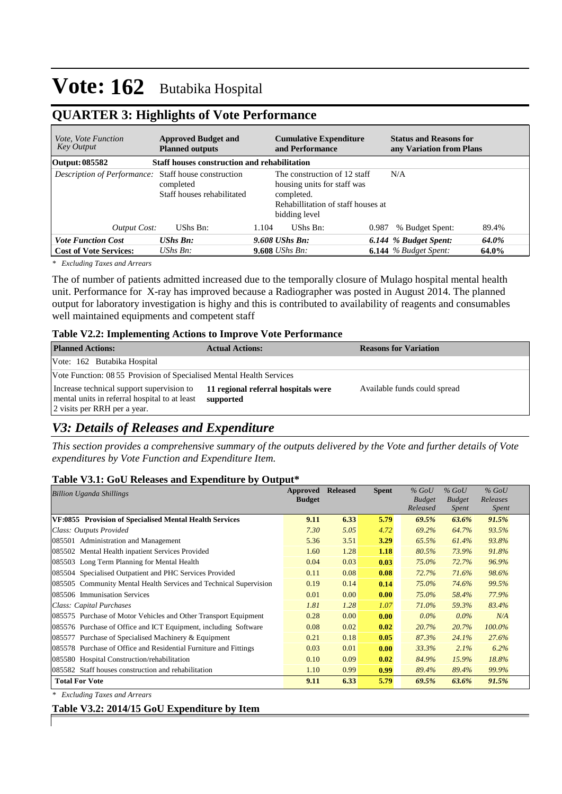## **QUARTER 3: Highlights of Vote Performance**

| <i>Vote, Vote Function</i><br>Key Output             | <b>Approved Budget and</b><br><b>Planned outputs</b> |       | <b>Cumulative Expenditure</b><br>and Performance                                                                                 |       | <b>Status and Reasons for</b><br>any Variation from Plans |       |
|------------------------------------------------------|------------------------------------------------------|-------|----------------------------------------------------------------------------------------------------------------------------------|-------|-----------------------------------------------------------|-------|
| Output: 085582                                       | <b>Staff houses construction and rehabilitation</b>  |       |                                                                                                                                  |       |                                                           |       |
| Description of Performance: Staff house construction | completed<br>Staff houses rehabilitated              |       | The construction of 12 staff<br>housing units for staff was<br>completed.<br>Rehabillitation of staff houses at<br>bidding level |       | N/A                                                       |       |
| <b>Output Cost:</b>                                  | UShs Bn:                                             | 1.104 | UShs Bn:                                                                                                                         | 0.987 | % Budget Spent:                                           | 89.4% |
| <b>Vote Function Cost</b>                            | <b>UShs Bn:</b>                                      |       | $9.608$ UShs Bn:                                                                                                                 |       | 6.144 % Budget Spent:                                     | 64.0% |
| <b>Cost of Vote Services:</b>                        | UShs $B_n$ :                                         |       | <b>9.608</b> <i>UShs Bn:</i>                                                                                                     |       | <b>6.144</b> % Budget Spent:                              | 64.0% |

*\* Excluding Taxes and Arrears*

The of number of patients admitted increased due to the temporally closure of Mulago hospital mental health unit. Performance for X-ray has improved because a Radiographer was posted in August 2014. The planned output for laboratory investigation is highy and this is contributed to availability of reagents and consumables well maintained equipments and competent staff

#### **Table V2.2: Implementing Actions to Improve Vote Performance**

| <b>Planned Actions:</b>                                                                                                    | <b>Actual Actions:</b>                           | <b>Reasons for Variation</b> |
|----------------------------------------------------------------------------------------------------------------------------|--------------------------------------------------|------------------------------|
| Vote: 162 Butabika Hospital                                                                                                |                                                  |                              |
| Vote Function: 08 55 Provision of Specialised Mental Health Services                                                       |                                                  |                              |
| Increase technical support supervision to<br>mental units in referral hospital to at least<br>2 visits per RRH per a year. | 11 regional referral hospitals were<br>supported | Available funds could spread |

## *V3: Details of Releases and Expenditure*

*This section provides a comprehensive summary of the outputs delivered by the Vote and further details of Vote expenditures by Vote Function and Expenditure Item.*

#### **Table V3.1: GoU Releases and Expenditure by Output\***

| <b>Billion Uganda Shillings</b>                                   | Approved<br><b>Budget</b> | <b>Released</b> | <b>Spent</b> | $%$ GoU<br><b>Budget</b><br>Released | $%$ GoU<br><b>Budget</b><br>Spent | $%$ GoU<br>Releases<br><i>Spent</i> |
|-------------------------------------------------------------------|---------------------------|-----------------|--------------|--------------------------------------|-----------------------------------|-------------------------------------|
| VF:0855 Provision of Specialised Mental Health Services           | 9.11                      | 6.33            | 5.79         | 69.5%                                | 63.6%                             | 91.5%                               |
| Class: Outputs Provided                                           | 7.30                      | 5.05            | 4.72         | 69.2%                                | 64.7%                             | 93.5%                               |
| 085501 Administration and Management                              | 5.36                      | 3.51            | 3.29         | 65.5%                                | 61.4%                             | 93.8%                               |
| 085502 Mental Health inpatient Services Provided                  | 1.60                      | 1.28            | 1.18         | 80.5%                                | 73.9%                             | 91.8%                               |
| 085503 Long Term Planning for Mental Health                       | 0.04                      | 0.03            | 0.03         | 75.0%                                | 72.7%                             | 96.9%                               |
| 085504 Specialised Outpatient and PHC Services Provided           | 0.11                      | 0.08            | 0.08         | 72.7%                                | 71.6%                             | 98.6%                               |
| 085505 Community Mental Health Services and Technical Supervision | 0.19                      | 0.14            | 0.14         | 75.0%                                | 74.6%                             | 99.5%                               |
| 085506 Immunisation Services                                      | 0.01                      | 0.00            | 0.00         | 75.0%                                | 58.4%                             | 77.9%                               |
| Class: Capital Purchases                                          | 1.81                      | 1.28            | 1.07         | 71.0%                                | 59.3%                             | 83.4%                               |
| 085575 Purchase of Motor Vehicles and Other Transport Equipment   | 0.28                      | 0.00            | 0.00         | $0.0\%$                              | $0.0\%$                           | N/A                                 |
| 085576 Purchase of Office and ICT Equipment, including Software   | 0.08                      | 0.02            | 0.02         | 20.7%                                | 20.7%                             | $100.0\%$                           |
| 085577 Purchase of Specialised Machinery & Equipment              | 0.21                      | 0.18            | 0.05         | 87.3%                                | 24.1%                             | 27.6%                               |
| 085578 Purchase of Office and Residential Furniture and Fittings  | 0.03                      | 0.01            | 0.00         | 33.3%                                | 2.1%                              | 6.2%                                |
| 085580 Hospital Construction/rehabilitation                       | 0.10                      | 0.09            | 0.02         | 84.9%                                | 15.9%                             | 18.8%                               |
| 085582 Staff houses construction and rehabilitation               | 1.10                      | 0.99            | 0.99         | 89.4%                                | 89.4%                             | 99.9%                               |
| <b>Total For Vote</b>                                             | 9.11                      | 6.33            | 5.79         | 69.5%                                | 63.6%                             | 91.5%                               |

*\* Excluding Taxes and Arrears*

#### **Table V3.2: 2014/15 GoU Expenditure by Item**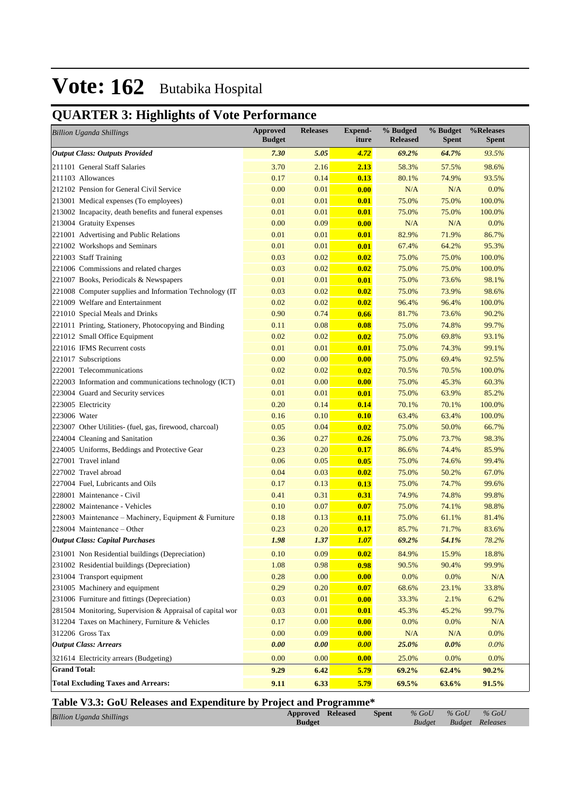## **QUARTER 3: Highlights of Vote Performance**

| <b>Billion Uganda Shillings</b>                           | <b>Approved</b><br><b>Budget</b> | <b>Releases</b> | <b>Expend-</b><br>iture | % Budged<br><b>Released</b> | % Budget<br><b>Spent</b> | %Releases<br><b>Spent</b> |
|-----------------------------------------------------------|----------------------------------|-----------------|-------------------------|-----------------------------|--------------------------|---------------------------|
| <b>Output Class: Outputs Provided</b>                     | 7.30                             | 5.05            | 4.72                    | 69.2%                       | 64.7%                    | 93.5%                     |
| 211101 General Staff Salaries                             | 3.70                             | 2.16            | 2.13                    | 58.3%                       | 57.5%                    | 98.6%                     |
| 211103 Allowances                                         | 0.17                             | 0.14            | 0.13                    | 80.1%                       | 74.9%                    | 93.5%                     |
| 212102 Pension for General Civil Service                  | 0.00                             | 0.01            | 0.00                    | N/A                         | N/A                      | 0.0%                      |
| 213001 Medical expenses (To employees)                    | 0.01                             | 0.01            | 0.01                    | 75.0%                       | 75.0%                    | 100.0%                    |
| 213002 Incapacity, death benefits and funeral expenses    | 0.01                             | 0.01            | 0.01                    | 75.0%                       | 75.0%                    | 100.0%                    |
| 213004 Gratuity Expenses                                  | 0.00                             | 0.09            | 0.00                    | N/A                         | N/A                      | 0.0%                      |
| 221001 Advertising and Public Relations                   | 0.01                             | 0.01            | 0.01                    | 82.9%                       | 71.9%                    | 86.7%                     |
| 221002 Workshops and Seminars                             | 0.01                             | 0.01            | 0.01                    | 67.4%                       | 64.2%                    | 95.3%                     |
| 221003 Staff Training                                     | 0.03                             | 0.02            | 0.02                    | 75.0%                       | 75.0%                    | 100.0%                    |
| 221006 Commissions and related charges                    | 0.03                             | 0.02            | 0.02                    | 75.0%                       | 75.0%                    | 100.0%                    |
| 221007 Books, Periodicals & Newspapers                    | 0.01                             | 0.01            | 0.01                    | 75.0%                       | 73.6%                    | 98.1%                     |
| 221008 Computer supplies and Information Technology (IT   | 0.03                             | 0.02            | 0.02                    | 75.0%                       | 73.9%                    | 98.6%                     |
| 221009 Welfare and Entertainment                          | 0.02                             | 0.02            | 0.02                    | 96.4%                       | 96.4%                    | 100.0%                    |
| 221010 Special Meals and Drinks                           | 0.90                             | 0.74            | 0.66                    | 81.7%                       | 73.6%                    | 90.2%                     |
| 221011 Printing, Stationery, Photocopying and Binding     | 0.11                             | 0.08            | 0.08                    | 75.0%                       | 74.8%                    | 99.7%                     |
| 221012 Small Office Equipment                             | 0.02                             | 0.02            | 0.02                    | 75.0%                       | 69.8%                    | 93.1%                     |
| 221016 IFMS Recurrent costs                               | 0.01                             | 0.01            | 0.01                    | 75.0%                       | 74.3%                    | 99.1%                     |
| 221017 Subscriptions                                      | 0.00                             | 0.00            | 0.00                    | 75.0%                       | 69.4%                    | 92.5%                     |
| 222001 Telecommunications                                 | 0.02                             | 0.02            | 0.02                    | 70.5%                       | 70.5%                    | 100.0%                    |
| 222003 Information and communications technology (ICT)    | 0.01                             | 0.00            | 0.00                    | 75.0%                       | 45.3%                    | 60.3%                     |
| 223004 Guard and Security services                        | 0.01                             | 0.01            | 0.01                    | 75.0%                       | 63.9%                    | 85.2%                     |
| 223005 Electricity                                        | 0.20                             | 0.14            | 0.14                    | 70.1%                       | 70.1%                    | 100.0%                    |
| 223006 Water                                              | 0.16                             | 0.10            | 0.10                    | 63.4%                       | 63.4%                    | 100.0%                    |
| 223007 Other Utilities- (fuel, gas, firewood, charcoal)   | 0.05                             | 0.04            | 0.02                    | 75.0%                       | 50.0%                    | 66.7%                     |
| 224004 Cleaning and Sanitation                            | 0.36                             | 0.27            | 0.26                    | 75.0%                       | 73.7%                    | 98.3%                     |
| 224005 Uniforms, Beddings and Protective Gear             | 0.23                             | 0.20            | 0.17                    | 86.6%                       | 74.4%                    | 85.9%                     |
| 227001 Travel inland                                      | 0.06                             | 0.05            | 0.05                    | 75.0%                       | 74.6%                    | 99.4%                     |
| 227002 Travel abroad                                      | 0.04                             | 0.03            | 0.02                    | 75.0%                       | 50.2%                    | 67.0%                     |
| 227004 Fuel, Lubricants and Oils                          | 0.17                             | 0.13            | 0.13                    | 75.0%                       | 74.7%                    | 99.6%                     |
| 228001 Maintenance - Civil                                | 0.41                             | 0.31            | 0.31                    | 74.9%                       | 74.8%                    | 99.8%                     |
| 228002 Maintenance - Vehicles                             | 0.10                             | 0.07            | 0.07                    | 75.0%                       | 74.1%                    | 98.8%                     |
| 228003 Maintenance - Machinery, Equipment & Furniture     | 0.18                             | 0.13            | 0.11                    | 75.0%                       | 61.1%                    | 81.4%                     |
| 228004 Maintenance - Other                                | 0.23                             | 0.20            | 0.17                    | 85.7%                       | 71.7%                    | 83.6%                     |
| <b>Output Class: Capital Purchases</b>                    | 1.98                             | 1.37            | 1.07                    | 69.2%                       | 54.1%                    | 78.2%                     |
| 231001 Non Residential buildings (Depreciation)           | 0.10                             | 0.09            | 0.02                    | 84.9%                       | 15.9%                    | 18.8%                     |
| 231002 Residential buildings (Depreciation)               | 1.08                             | 0.98            | 0.98                    | 90.5%                       | 90.4%                    | 99.9%                     |
| 231004 Transport equipment                                | 0.28                             | 0.00            | 0.00                    | 0.0%                        | $0.0\%$                  | $\rm N/A$                 |
| 231005 Machinery and equipment                            | 0.29                             | 0.20            | 0.07                    | 68.6%                       | 23.1%                    | 33.8%                     |
| 231006 Furniture and fittings (Depreciation)              | 0.03                             | 0.01            | 0.00                    | 33.3%                       | 2.1%                     | 6.2%                      |
| 281504 Monitoring, Supervision & Appraisal of capital wor | 0.03                             | 0.01            | 0.01                    | 45.3%                       | 45.2%                    | 99.7%                     |
| 312204 Taxes on Machinery, Furniture & Vehicles           | 0.17                             | 0.00            | 0.00                    | 0.0%                        | 0.0%                     | $\rm N/A$                 |
| 312206 Gross Tax                                          | 0.00                             | 0.09            | 0.00                    | $\rm N/A$                   | N/A                      | $0.0\%$                   |
| <b>Output Class: Arrears</b>                              | 0.00                             | 0.00            | 0.00                    | 25.0%                       | 0.0%                     | $0.0\%$                   |
|                                                           |                                  |                 |                         |                             |                          |                           |
| 321614 Electricity arrears (Budgeting)                    | 0.00                             | 0.00            | 0.00                    | 25.0%                       | 0.0%                     | 0.0%                      |
| <b>Grand Total:</b>                                       | 9.29                             | 6.42            | 5.79                    | 69.2%                       | 62.4%                    | 90.2%                     |
| <b>Total Excluding Taxes and Arrears:</b>                 | 9.11                             | 6.33            | 5.79                    | 69.5%                       | 63.6%                    | 91.5%                     |

### **Table V3.3: GoU Releases and Expenditure by Project and Programme\***

| <b>Billion Uganda Shillings</b> | <b>Approved Released</b> | <b>Spent</b> | $\%$ GoU | $\%$ GoU               | $\%$ GoU |
|---------------------------------|--------------------------|--------------|----------|------------------------|----------|
|                                 | <b>Budget</b>            |              |          | Budget Budget Releases |          |